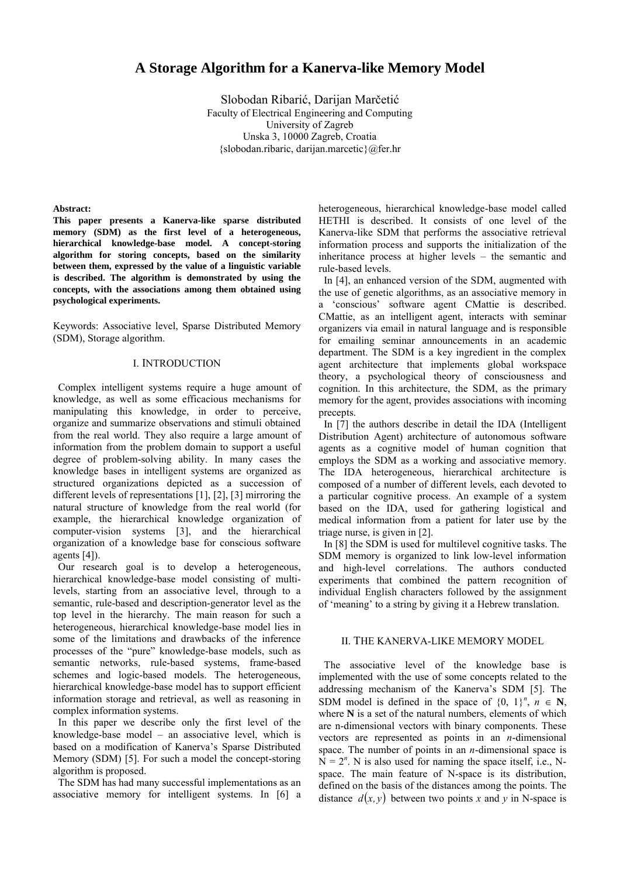# **A Storage Algorithm for a Kanerva-like Memory Model**

Slobodan Ribarić, Darijan Marčetić Faculty of Electrical Engineering and Computing University of Zagreb Unska 3, 10000 Zagreb, Croatia {slobodan.ribaric, darijan.marcetic}@fer.hr

### **Abstract:**

**This paper presents a Kanerva-like sparse distributed memory (SDM) as the first level of a heterogeneous, hierarchical knowledge-base model. A concept-storing algorithm for storing concepts, based on the similarity between them, expressed by the value of a linguistic variable is described. The algorithm is demonstrated by using the concepts, with the associations among them obtained using psychological experiments.**

Keywords: Associative level, Sparse Distributed Memory (SDM), Storage algorithm.

# I. INTRODUCTION

 Complex intelligent systems require a huge amount of knowledge, as well as some efficacious mechanisms for manipulating this knowledge, in order to perceive, organize and summarize observations and stimuli obtained from the real world. They also require a large amount of information from the problem domain to support a useful degree of problem-solving ability. In many cases the knowledge bases in intelligent systems are organized as structured organizations depicted as a succession of different levels of representations [1], [2], [3] mirroring the natural structure of knowledge from the real world (for example, the hierarchical knowledge organization of computer-vision systems [3], and the hierarchical organization of a knowledge base for conscious software agents [4]).

 Our research goal is to develop a heterogeneous, hierarchical knowledge-base model consisting of multilevels, starting from an associative level, through to a semantic, rule-based and description-generator level as the top level in the hierarchy. The main reason for such a heterogeneous, hierarchical knowledge-base model lies in some of the limitations and drawbacks of the inference processes of the "pure" knowledge-base models, such as semantic networks, rule-based systems, frame-based schemes and logic-based models. The heterogeneous, hierarchical knowledge-base model has to support efficient information storage and retrieval, as well as reasoning in complex information systems.

 In this paper we describe only the first level of the knowledge-base model – an associative level, which is based on a modification of Kanerva's Sparse Distributed Memory (SDM) [5]. For such a model the concept-storing algorithm is proposed.

 The SDM has had many successful implementations as an associative memory for intelligent systems. In [6] a

heterogeneous, hierarchical knowledge-base model called HETHI is described. It consists of one level of the Kanerva-like SDM that performs the associative retrieval information process and supports the initialization of the inheritance process at higher levels – the semantic and rule-based levels.

 In [4], an enhanced version of the SDM, augmented with the use of genetic algorithms, as an associative memory in a 'conscious' software agent CMattie is described. CMattie, as an intelligent agent, interacts with seminar organizers via email in natural language and is responsible for emailing seminar announcements in an academic department. The SDM is a key ingredient in the complex agent architecture that implements global workspace theory, a psychological theory of consciousness and cognition. In this architecture, the SDM, as the primary memory for the agent, provides associations with incoming precepts.

 In [7] the authors describe in detail the IDA (Intelligent Distribution Agent) architecture of autonomous software agents as a cognitive model of human cognition that employs the SDM as a working and associative memory. The IDA heterogeneous, hierarchical architecture is composed of a number of different levels, each devoted to a particular cognitive process. An example of a system based on the IDA, used for gathering logistical and medical information from a patient for later use by the triage nurse, is given in [2].

 In [8] the SDM is used for multilevel cognitive tasks. The SDM memory is organized to link low-level information and high-level correlations. The authors conducted experiments that combined the pattern recognition of individual English characters followed by the assignment of 'meaning' to a string by giving it a Hebrew translation.

#### II. THE KANERVA-LIKE MEMORY MODEL

 The associative level of the knowledge base is implemented with the use of some concepts related to the addressing mechanism of the Kanerva's SDM [5]. The SDM model is defined in the space of  $\{0, 1\}^n$ ,  $n \in \mathbb{N}$ , where **N** is a set of the natural numbers, elements of which are n-dimensional vectors with binary components. These vectors are represented as points in an *n*-dimensional space. The number of points in an *n*-dimensional space is  $N = 2^n$ . N is also used for naming the space itself, i.e., Nspace. The main feature of N-space is its distribution, defined on the basis of the distances among the points. The distance  $d(x, y)$  between two points x and y in N-space is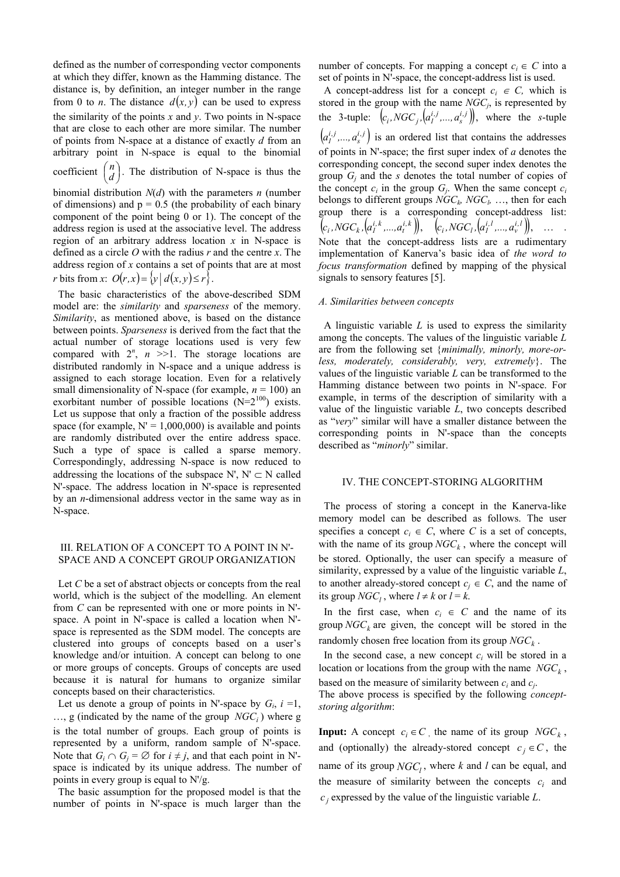defined as the number of corresponding vector components at which they differ, known as the Hamming distance. The distance is, by definition, an integer number in the range from 0 to *n*. The distance  $d(x, y)$  can be used to express the similarity of the points *x* and *y*. Two points in N-space that are close to each other are more similar. The number of points from N-space at a distance of exactly *d* from an arbitrary point in N-space is equal to the binomial coefficient  $\binom{n}{d}$ ſ  $\binom{n}{d}$ . The distribution of N-space is thus the

binomial distribution *N*(*d*) with the parameters *n* (number of dimensions) and  $p = 0.5$  (the probability of each binary component of the point being 0 or 1). The concept of the address region is used at the associative level. The address region of an arbitrary address location *x* in N-space is defined as a circle *O* with the radius *r* and the centre *x*. The address region of *x* contains a set of points that are at most *r* bits from *x*:  $O(r, x) = \{y \mid d(x, y) \le r\}.$ 

 The basic characteristics of the above-described SDM model are: the *similarity* and *sparseness* of the memory. *Similarity*, as mentioned above, is based on the distance between points. *Sparseness* is derived from the fact that the actual number of storage locations used is very few compared with  $2^n$ ,  $n \ge 1$ . The storage locations are distributed randomly in N-space and a unique address is assigned to each storage location. Even for a relatively small dimensionality of N-space (for example,  $n = 100$ ) an exorbitant number of possible locations  $(N=2^{100})$  exists. Let us suppose that only a fraction of the possible address space (for example,  $N' = 1,000,000$ ) is available and points are randomly distributed over the entire address space. Such a type of space is called a sparse memory. Correspondingly, addressing N-space is now reduced to addressing the locations of the subspace N',  $N' \subset N$  called N'-space. The address location in N'-space is represented by an *n*-dimensional address vector in the same way as in N-space.

### III. RELATION OF A CONCEPT TO A POINT IN N'- SPACE AND A CONCEPT GROUP ORGANIZATION

 Let *C* be a set of abstract objects or concepts from the real world, which is the subject of the modelling. An element from *C* can be represented with one or more points in N' space. A point in N'-space is called a location when N' space is represented as the SDM model. The concepts are clustered into groups of concepts based on a user's knowledge and/or intuition. A concept can belong to one or more groups of concepts. Groups of concepts are used because it is natural for humans to organize similar concepts based on their characteristics.

Let us denote a group of points in N'-space by  $G_i$ ,  $i = 1$ ,  $..., g$  (indicated by the name of the group *NGC<sub>i</sub>*) where g is the total number of groups. Each group of points is represented by a uniform, random sample of N'-space. Note that  $G_i \cap G_j = \emptyset$  for  $i \neq j$ , and that each point in N'space is indicated by its unique address. The number of points in every group is equal to N'/g.

 The basic assumption for the proposed model is that the number of points in N'-space is much larger than the

number of concepts. For mapping a concept  $c_i \in C$  into a set of points in N'-space, the concept-address list is used.

A concept-address list for a concept  $c_i \in C$ , which is stored in the group with the name *NGCj*, is represented by the 3-tuple:  $\left(c_i, NGC_j, \left(a_i^{i,j},..., a_s^{i,j}\right)\right)$ , where the *s*-tuple  $\left(a_i^{i,j},..., a_s^{i,j}\right)$  is an ordered list that contains the addresses of points in N'-space; the first super index of *a* denotes the corresponding concept, the second super index denotes the group  $G_i$  and the *s* denotes the total number of copies of the concept  $c_i$  in the group  $G_i$ . When the same concept  $c_i$ belongs to different groups  $NGC_k$ ,  $NGC_l$ , ..., then for each group there is a corresponding concept-address list:  $(c_i, NGC_k, [a_i^{i,k},...,a_i^{i,k}]), \quad [c_i, NGC_l, [a_i^{i,l},...,a_v^{i,l}]), \quad ... \quad .$ Note that the concept-address lists are a rudimentary implementation of Kanerva's basic idea of *the word to focus transformation* defined by mapping of the physical signals to sensory features [5].

### *A. Similarities between concepts*

 A linguistic variable *L* is used to express the similarity among the concepts. The values of the linguistic variable *L* are from the following set {*minimally, minorly, more-orless, moderately, considerably, very, extremely*}. The values of the linguistic variable *L* can be transformed to the Hamming distance between two points in N'-space. For example, in terms of the description of similarity with a value of the linguistic variable *L*, two concepts described as "*very*" similar will have a smaller distance between the corresponding points in N'-space than the concepts described as "*minorly*" similar.

### IV. THE CONCEPT-STORING ALGORITHM

 The process of storing a concept in the Kanerva-like memory model can be described as follows. The user specifies a concept  $c_i \in C$ , where *C* is a set of concepts, with the name of its group  $NGC_k$ , where the concept will be stored. Optionally, the user can specify a measure of similarity, expressed by a value of the linguistic variable *L*, to another already-stored concept  $c_i \in C$ , and the name of its group  $NGC_l$ , where  $l \neq k$  or  $l = k$ .

In the first case, when  $c_i \in C$  and the name of its group  $NGC_k$  are given, the concept will be stored in the randomly chosen free location from its group  $NGC_k$ .

In the second case, a new concept  $c_i$  will be stored in a location or locations from the group with the name  $NGC_k$ , based on the measure of similarity between  $c_i$  and  $c_j$ .

The above process is specified by the following *conceptstoring algorithm*:

**Input:** A concept  $c_i \in C$ , the name of its group  $NGC_k$ , and (optionally) the already-stored concept  $c_i \in C$ , the name of its group  $NGC<sub>l</sub>$ , where *k* and *l* can be equal, and the measure of similarity between the concepts  $c_i$  and  $c_i$  expressed by the value of the linguistic variable  $L$ .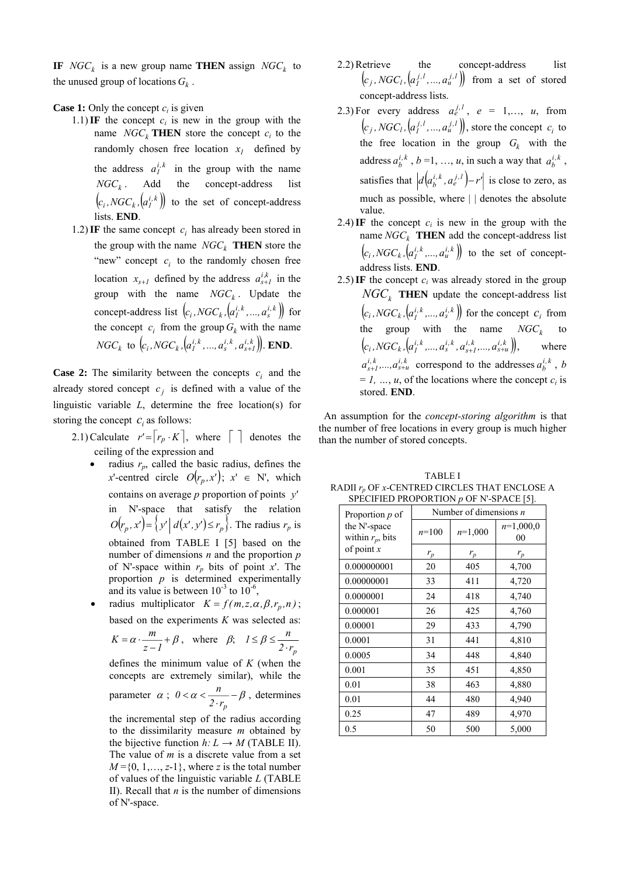**IF**  $NGC_k$  is a new group name **THEN** assign  $NGC_k$  to the unused group of locations  $G_k$ .

# **Case 1:** Only the concept  $c_i$  is given

- 1.1) IF the concept  $c_i$  is new in the group with the name  $NGC<sub>k</sub>$  **THEN** store the concept  $c<sub>i</sub>$  to the randomly chosen free location  $x_i$  defined by the address  $a_i^{i,k}$  in the group with the name  $NGC_k$ . Add the concept-address list  $\left(c_i, NGC_k, \left(a_i^{i,k}\right)\right)$  to the set of concept-address lists. **END**.
- 1.2) IF the same concept  $c_i$  has already been stored in the group with the name  $NGC_k$  **THEN** store the "new" concept  $c_i$  to the randomly chosen free location  $x_{s+1}$  defined by the address  $a_{s+1}^{i,k}$  in the group with the name  $NGC_k$ . Update the concept-address list  $\left(c_i, NGC_k, \left(a_i^{i,k},..., a_s^{i,k}\right)\right)$  for the concept  $c_i$  from the group  $G_k$  with the name  $NGC_k$  to  $(c_i, NGC_k, [a_i^{i,k}, ..., a_s^{i,k}, a_{s+l}^{i,k})$ . **END**.

**Case 2:** The similarity between the concepts  $c_i$  and the already stored concept  $c_j$  is defined with a value of the linguistic variable *L*, determine the free location(s) for storing the concept  $c_i$  as follows:

- 2.1) Calculate  $r' = |r_p \cdot K|$ , where  $\lceil \cdot \rceil$  denotes the ceiling of the expression and
	- radius  $r_p$ , called the basic radius, defines the *x*'-centred circle  $O(r_n, x')$ ;  $x' \in N'$ , which contains on average *p* proportion of points *'y* in N'-space that satisfy the relation  $O(r_p, x') = \left\{ y' \mid d(x', y') \le r_p \right\}$ . The radius  $r_p$  is obtained from TABLE I [5] based on the number of dimensions *n* and the proportion *p* of N'-space within *rp* bits of point *x*'. The proportion *p* is determined experimentally and its value is between  $10^{-3}$  to  $10^{-6}$ ,
	- radius multiplicator  $K = f(m, z, \alpha, \beta, r_p, n)$ ; based on the experiments *K* was selected as:

$$
K = \alpha \cdot \frac{m}{z - l} + \beta \,, \quad \text{where} \quad \beta; \quad l \le \beta \le \frac{n}{2 \cdot r_p}
$$

defines the minimum value of *K* (when the concepts are extremely similar), while the

parameter 
$$
\alpha
$$
;  $0 < \alpha < \frac{n}{2 \cdot r_p} - \beta$ , determines

the incremental step of the radius according to the dissimilarity measure *m* obtained by the bijective function  $h: L \to M$  (TABLE II). The value of *m* is a discrete value from a set  $M = \{0, 1, \ldots, z-1\}$ , where *z* is the total number of values of the linguistic variable *L* (TABLE II). Recall that *n* is the number of dimensions of N'-space.

- 2.2) Retrieve the concept-address list  $(c_j, NGC_l, (a_i^{j,l}, ..., a_u^{j,l}))$  from a set of stored concept-address lists.
- 2.3) For every address  $a_e^{j,l}$ ,  $e = 1,..., u$ , from  $(c_j, NGC_l, (a_i^{j,l}, ..., a_u^{j,l}))$ , store the concept  $c_i$  to the free location in the group  $G_k$  with the address  $a_b^{i,k}$ ,  $b = 1, ..., u$ , in such a way that  $a_b^{i,k}$ , satisfies that  $\left| d \left( a_b^{i,k}, a_e^{j,l} \right) - r' \right|$  is close to zero, as much as possible, where | | denotes the absolute value.
- 2.4) IF the concept  $c_i$  is new in the group with the name  $NGC_k$  **THEN** add the concept-address list  $\left(c_i, NGC_k, \left(a_i^{i,k},...,a_u^{i,k}\right)\right)$  to the set of conceptaddress lists. **END**.
- 2.5) IF the concept  $c_i$  was already stored in the group  $NGC<sub>k</sub>$  **THEN** update the concept-address list  $\left(c_i, NGC_k, \left(a_i^{i,k}, \ldots, a_s^{i,k}\right)\right)$  for the concept  $c_i$  from the group with the name  $NGC_k$  to  $(c_i, NGC_k, \left( a_i^{i,k}, \ldots, a_s^{i,k}, a_{s+1}^{i,k}, \ldots, a_{s+u}^{i,k} \right)),$  where  $a_{s+l}^{i,k},...,a_{s+u}^{i,k}$  correspond to the addresses  $a_b^{i,k}$ , *b*  $= 1, ..., u$ , of the locations where the concept  $c_i$  is stored. **END**.

 An assumption for the *concept-storing algorithm* is that the number of free locations in every group is much higher than the number of stored concepts.

| Proportion $p$ of                   | SECTED FROM ONTION $\rho$ of in-server [9].<br>Number of dimensions $n$ |           |                   |
|-------------------------------------|-------------------------------------------------------------------------|-----------|-------------------|
| the N'-space<br>within $r_p$ , bits | $n=100$                                                                 | $n=1,000$ | $n=1,000,0$<br>00 |
| of point $x$                        | $r_p$                                                                   | $r_p$     | $r_p$             |
| 0.000000001                         | 20                                                                      | 405       | 4,700             |
| 0.00000001                          | 33                                                                      | 411       | 4,720             |
| 0.0000001                           | 24                                                                      | 418       | 4,740             |
| 0.000001                            | 26                                                                      | 425       | 4,760             |
| 0.00001                             | 29                                                                      | 433       | 4,790             |
| 0.0001                              | 31                                                                      | 441       | 4,810             |
| 0.0005                              | 34                                                                      | 448       | 4,840             |
| 0.001                               | 35                                                                      | 451       | 4,850             |
| 0.01                                | 38                                                                      | 463       | 4,880             |
| 0.01                                | 44                                                                      | 480       | 4,940             |
| 0.25                                | 47                                                                      | 489       | 4,970             |
| 0.5                                 | 50                                                                      | 500       | 5,000             |

TABLE I RADII  $r_p$  OF *x*-CENTRED CIRCLES THAT ENCLOSE A SPECIFIED PROPORTION *p* OF N'-SPACE [5].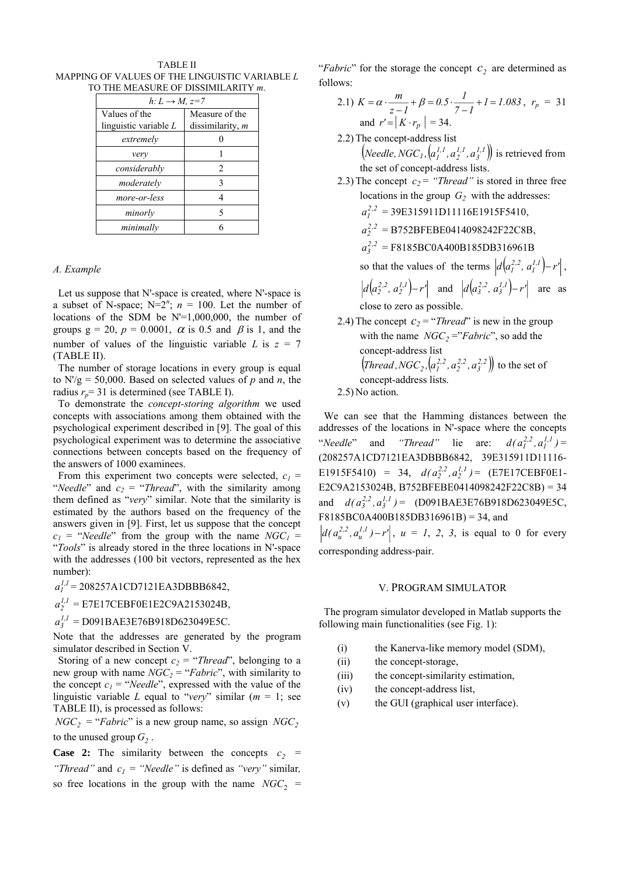TABLE II MAPPING OF VALUES OF THE LINGUISTIC VARIABLE *L* TO THE MEASURE OF DISSIMILARITY *m*.

| $h: L \rightarrow M$ , $z=7$ |                  |  |
|------------------------------|------------------|--|
| Values of the                | Measure of the   |  |
| linguistic variable $L$      | dissimilarity, m |  |
| extremely                    |                  |  |
| very                         |                  |  |
| considerably                 | 2                |  |
| moderately                   | 3                |  |
| more-or-less                 |                  |  |
| minorly                      | 5                |  |
| minimally                    |                  |  |

## *A. Example*

 Let us suppose that N'-space is created, where N'-space is a subset of N-space;  $N=2^n$ ;  $n = 100$ . Let the number of locations of the SDM be N'=1,000,000, the number of groups  $g = 20$ ,  $p = 0.0001$ ,  $\alpha$  is 0.5 and  $\beta$  is 1, and the number of values of the linguistic variable *L* is  $z = 7$ (TABLE II).

 The number of storage locations in every group is equal to  $N/g = 50,000$ . Based on selected values of *p* and *n*, the radius  $r_p$ = 31 is determined (see TABLE I).

 To demonstrate the *concept-storing algorithm* we used concepts with associations among them obtained with the psychological experiment described in [9]. The goal of this psychological experiment was to determine the associative connections between concepts based on the frequency of the answers of 1000 examinees.

From this experiment two concepts were selected,  $c_1$  = "*Needle*" and  $c_2$  = "*Thread*", with the similarity among them defined as "*very*" similar. Note that the similarity is estimated by the authors based on the frequency of the answers given in [9]. First, let us suppose that the concept  $c_1$  = "*Needle*" from the group with the name  $NGC_1$  = "*Tools*" is already stored in the three locations in N'-space with the addresses (100 bit vectors, represented as the hex number):

 $a_l^{1,1} = 208257A1CD7121EA3DBB6842,$ 

 $a_2^{1,1}$  = E7E17CEBF0E1E2C9A2153024B,

 $a_3^{1,1}$  = D091BAE3E76B918D623049E5C.

Note that the addresses are generated by the program simulator described in Section V.

Storing of a new concept  $c_2 = \text{``Thread''},$  belonging to a new group with name  $NGC_2$  = "*Fabric*", with similarity to the concept  $c_1$  = "*Needle*", expressed with the value of the linguistic variable *L* equal to "*very*" similar  $(m = 1$ ; see TABLE II), is processed as follows:

 $NGC_2$  = "*Fabric*" is a new group name, so assign *NGC*<sub>2</sub> to the unused group  $G_2$ .

**Case 2:** The similarity between the concepts  $c_2$  = *"Thread"* and  $c_1$  = "*Needle"* is defined as *"very"* similar, so free locations in the group with the name  $NGC_2$  = "*Fabric*" for the storage the concept  $c_2$  are determined as follows:

- 2.1)  $K = \alpha \cdot \frac{m}{z-l} + \beta = 0.5 \cdot \frac{l}{7-l} + l = 1.083$ ,  $r_p = 31$ and  $r' = \lceil K \cdot r_n \rceil = 34$ .
- 2.2) The concept-address list
	- $\left(Nee\text{d}le, NGC_1, \left(a_1^{1,1}, a_2^{1,1}, a_3^{1,1}\right)\right)$  is retrieved from the set of concept-address lists.
- 2.3) The concept  $c_2$  = "*Thread*" is stored in three free locations in the group  $G_2$  with the addresses:

 $a_l^{2,2} = 39E315911D11116E1915F5410,$ 

- $a_2^{2,2}$  = B752BFEBE0414098242F22C8B,
- $a_3^{2,2}$  = F8185BC0A400B185DB316961B

so that the values of the terms  $\left| d\left(a_i^{2,2}, a_i^{1,1}\right) - r' \right|$ ,  $d(a_2^{2,2}, a_2^{1,1}) - r'$  and  $d(a_3^{2,2}, a_3^{1,1}) - r'$  are as close to zero as possible.

2.4) The concept  $c_2 = \text{``}Thread\text{''}$  is new in the group with the name  $NGC_2 = "Fabric"$ , so add the concept-address list  $\left( \text{Thread}, \text{NGC}_2, \left( a_1^{2,2}, a_2^{2,2}, a_3^{2,2} \right) \right)$  to the set of concept-address lists.

2.5) No action.

 We can see that the Hamming distances between the addresses of the locations in N'-space where the concepts "*Needle*" and "*Thread*" lie are:  $d(a_1^{2,2}, a_1^{1,1}) =$ (208257A1CD7121EA3DBBB6842, 39E315911D11116- E1915F5410) = 34,  $d(a_2^{2,2}, a_2^{1,1})$  = (E7E17CEBF0E1-E2C9A2153024B, B752BFEBE0414098242F22C8B) = 34 and  $d(a_3^{2,2}, a_3^{1,1}) = (D091BAE3E76B918D623049E5C,$ F8185BC0A400B185DB316961B) = 34, and  $d(a_u^{2,2}, a_u^{1,1}) - r'$ ,  $u = 1, 2, 3$ , is equal to 0 for every corresponding address-pair.

## V. PROGRAM SIMULATOR

 The program simulator developed in Matlab supports the following main functionalities (see Fig. 1):

- (i) the Kanerva-like memory model (SDM),
- (ii) the concept-storage,
- (iii) the concept-similarity estimation,
- (iv) the concept-address list,
- (v) the GUI (graphical user interface).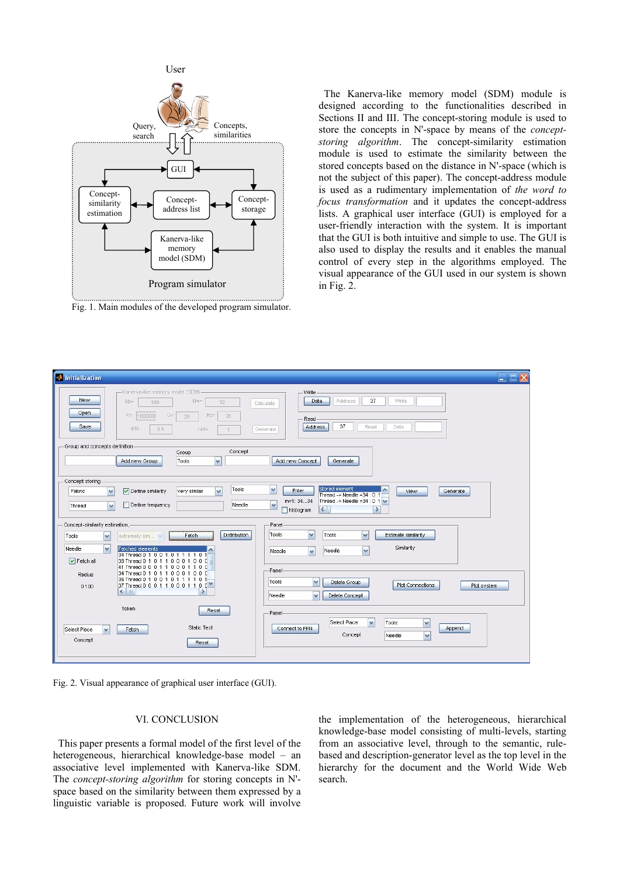

Fig. 1. Main modules of the developed program simulator.

 The Kanerva-like memory model (SDM) module is designed according to the functionalities described in Sections II and III. The concept-storing module is used to store the concepts in N'-space by means of the *conceptstoring algorithm*. The concept-similarity estimation module is used to estimate the similarity between the stored concepts based on the distance in N'-space (which is not the subject of this paper). The concept-address module is used as a rudimentary implementation of *the word to focus transformation* and it updates the concept-address lists. A graphical user interface (GUI) is employed for a user-friendly interaction with the system. It is important that the GUI is both intuitive and simple to use. The GUI is also used to display the results and it enables the manual control of every step in the algorithms employed. The visual appearance of the GUI used in our system is shown in Fig. 2.



Fig. 2. Visual appearance of graphical user interface (GUI).

#### VI. CONCLUSION

 This paper presents a formal model of the first level of the heterogeneous, hierarchical knowledge-base model – an associative level implemented with Kanerva-like SDM. The *concept-storing algorithm* for storing concepts in N' space based on the similarity between them expressed by a linguistic variable is proposed. Future work will involve

the implementation of the heterogeneous, hierarchical knowledge-base model consisting of multi-levels, starting from an associative level, through to the semantic, rulebased and description-generator level as the top level in the hierarchy for the document and the World Wide Web search.